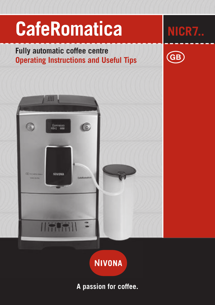

# **NIVONA**

## **A passion for coffee.**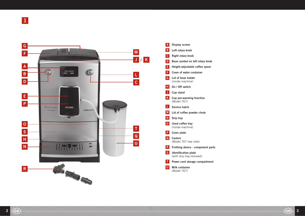

 $\overline{A}$ Display screen ABCDEFGHJK LMNO PQRST  $\overline{B}$ Left rotary knob Right rotary knob  $\overline{c}$ Bean symbol on left rotary knob D Height-adjustable coffee spout E  $F$ Cover of water container  $\overline{G}$ Lid of bean holder (inside machine)  $H$ On / Off switch Cup stand  $\vert$  J  $\vert$  $\mathbf K$ Cup pre-warming function (Model 767) L. Service hatch M Lid of coffee powder chute  $\overline{\mathsf{N}}$ Drip tray  $\overline{0}$ Used coffee tray (inside machine)  $P$ Cover plate  $Q$ Castors (Model 767 rear side) Frothing device - component parts  $\overline{\mathbf{R}}$  $\mathsf{S}$ Identification plate (with drip tray removed)  $\top$ Power cord storage compartment U Milk container (Model 767)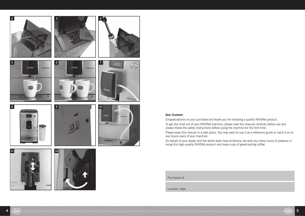

**Dear Customer** Congratulations on your purchase and thank you for choosing a quality NIVONA product.

To get the most out of your NIVONA machine, please read this manual carefully before use and please follow the safety instructions before using the machine for the first time.

Please keep this manual in a safe place. You may want to use it as a reference guide or hand it on to any future users of your machine.

On behalf of your dealer and the whole team here at Nivona, we wish you many hours of pleasure in using this high-quality NIVONA product and many cups of great-tasting coffee.

Purchased at

Location, date

a

**Cuts**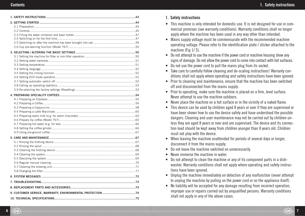| 3. SELECTING / ALTERING THE BASIC SETTINGS ……………………………………………………………50    |  |  |  |  |
|-------------------------------------------------------------------------|--|--|--|--|
|                                                                         |  |  |  |  |
|                                                                         |  |  |  |  |
|                                                                         |  |  |  |  |
|                                                                         |  |  |  |  |
|                                                                         |  |  |  |  |
|                                                                         |  |  |  |  |
|                                                                         |  |  |  |  |
|                                                                         |  |  |  |  |
|                                                                         |  |  |  |  |
|                                                                         |  |  |  |  |
|                                                                         |  |  |  |  |
|                                                                         |  |  |  |  |
|                                                                         |  |  |  |  |
|                                                                         |  |  |  |  |
|                                                                         |  |  |  |  |
|                                                                         |  |  |  |  |
|                                                                         |  |  |  |  |
|                                                                         |  |  |  |  |
|                                                                         |  |  |  |  |
|                                                                         |  |  |  |  |
|                                                                         |  |  |  |  |
|                                                                         |  |  |  |  |
|                                                                         |  |  |  |  |
|                                                                         |  |  |  |  |
|                                                                         |  |  |  |  |
|                                                                         |  |  |  |  |
|                                                                         |  |  |  |  |
|                                                                         |  |  |  |  |
|                                                                         |  |  |  |  |
| 9. CUSTOMER SERVICE, WARRANTY, ENVIRONMENTAL PROTECTION …………………………………74 |  |  |  |  |
|                                                                         |  |  |  |  |

## **Contents** 1. Safety instructions

## 1. Safety instructions

- This machine is only intended for domestic use. It is not designed for use in commercial premises (see warranty conditions). Warranty conditions shall no longer apply where the machine has been used in any way other than intended.
- Mains supply voltage must be commensurate with the recommended machine operating voltage. Please refer to the identification plate / sticker attached to the machine (Fig  $1/$  S).
- Do not attempt to use the machine if the power cord or machine housing show any signs of damage. Do not allow the power cord to come into contact with hot surfaces.
- Do not use the power cord to pull the mains plug from its socket.
- Take care to carefully follow cleaning and de-scaling instructions! Warranty conditions shall not apply where operating and safety instructions have been ignored.
- $\bullet$  Prior to cleaning and maintenance, ensure that the machine has been switched off and disconnected from the mains supply.
- Prior to operating, make sure the machine is placed on a firm, level surface. Never attempt to use the machine outdoors.
- $\bullet$  Never place the machine on a hot surface or in the vicinity of a naked flame.
- This device can be used by children aged 8 years or over if they are supervised or have been shown how to use the device safely and have understood the possible dangers. Cleaning and user maintenance may not be carried out by children unless they are aged 8 years or over and are supervised. The device and its connection lead should be kept away from children younger than 8 years old. Children must not play with the device.
- When leaving the machine unattended for periods of several days or longer, disconnect it from the mains supply.
- $\bullet$  Do not leave the machine switched on unnecessarily.
- $\bullet$  Never immerse the machine in water.
- Do not attempt to clean the machine or any of its component parts in a dishwasher. Warranty conditions shall not apply where operating and safety instructions have been ignored.
- Unplug the machine immediately on detection of any malfunction (never attempt to unplug the machine by pulling on the power cord or on the appliance itself).
- No liability will be accepted for any damage resulting from incorrect operation, improper use or repairs carried out by unqualified persons. Warranty conditions shall not apply in any of the above cases.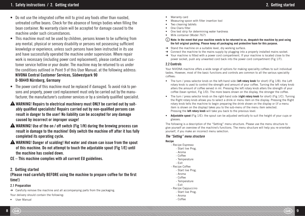- Do not use the integrated coffee mill to grind any foods other than roasted, untreated coffee beans. Check for the absence of foreign bodies when filling the bean container. No warranty claim will be accepted for damage caused to the machine under such circumstances
- This machine must not be used by children, persons known to be suffering from any mental, physical or sensory disability or persons not possessing sufficient knowledge or experience, unless such persons have been instructed in its use and have successfully operated the machine under supervision. Where repair work is necessary (including power cord replacement), please contact our customer service hotline or your dealer. The machine may be returned to us under the conditions outlined in Point 9 of this User Manual, at the following address: NIVONA Central Customer Services, Südwestpark 90 D-90449 Nürnberg, Germany
- $\bullet$  The power cord of this machine must be replaced if damaged. To avoid risk to persons and property, power cord replacement must only be carried out by the manufacturer, the manufacturer's customer services or by a similarly qualified specialist.
- A WARNING! Repairs to electrical machinery must ONLY be carried out by suitably qualified specialists! Repairs carried out by non-qualified persons can result in danger to the user! No liability can be accepted for any damage caused by incorrect or improper usage!
- WARNING! Use of the on / off switch (Fig 1/H) during the brewing process can result in damage to the machine! Only switch the machine off after it has fully completed its operating cycle.
- A WARNING! Danger of scalding! Hot water and steam can issue from the spout of this machine. Do not attempt to touch the adjustable spout (Fig 1/E) until the machine has cooled down.
- CE This machine complies with all current EU guidelines.

## 2. Getting started

(Please read carefully BEFORE using the machine to prepare coffee for the first time!)

## 2.1 Preparation

 $\rightarrow$  Carefully remove the machine and all accompanying parts from the packaging. Your delivery should contain the following:

• User Manual

- Warranty card
- Measuring spoon with filter insertion tool
- Two cleaning tablets
- One Claris filter
- One test strip for determining water hardness
- $\bullet$  Milk container (Model 767)

**Note: In the event that your machine needs to be returned to us, despatch the machine by post using the full original packing. Please keep all packaging and protective foam for this purpose.**

- $\rightarrow$  Stand the machine on a suitable level, dry working surface.
- $\rightarrow$  Connect the machine to the mains supply by plugging into a properly installed mains socket.
- $\rightarrow$  Your machine is fitted with a power cord compartment. If your machine is located close to the power socket, push any unwanted cord back into the power cord compartment (Fig 1/T).

## 2.2 Controls

Your NIVONA machine offers a wide range of options for making speciality coffees to suit individual tastes. However, most of the basic functions and controls are common to all the various speciality coffees:

- The turn / press selector knob on the left-hand side (left rotary knob for short) (Fig 1/B): the Left rotary knob is used to control the strength and amount of your coffee. Turning the left rotary knob alters the amount of coffee served in ml. Pressing the left rotary knob alters the strength of your coffee (bean symbol, Fig 1/D). The more beans shown on the display, the stronger the coffee.
- The turn / press selector knob on the right-hand side (**right rotary knob** for short) (Fig 1/C). Turning the Right rotary knob allows you to select a drink or menu item on the display. Pressing the Right rotary knob tells the machine to begin preparing the drink shown on the display or (if a menu item is shown on the display) takes you to the sub-menu of the menu item selected. Pressing the **left rotary knob** will take you back to the previous level.
- **Adjustable spout** (Fig 1/E): the spout can be adjusted vertically to suit the height of your cups or glasses.

The following is a description of the "Setting" menu structure. Please use the menu structure to give yourself an overview of the machine's functions. The menu structure will help you re-orientate yourself, if you make an incorrect menu selection.

#### The "Setting" menu structure

#### **Recipe**

- Recipe Espresso
	- Start live Prog.
	- Aroma
	- Coffee
	- Temperature - Exit
- 
- Recipe Coffee - Start live Prog.
	- Aroma
- Coffee
- Temperature
- Exit
- 
- Recipe Cappuccino - Start live Prog.
	- Aroma
	- Coffee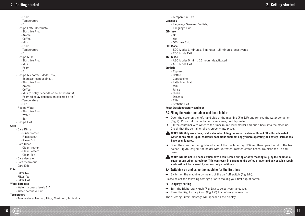- Foam
- Temperature
- Exit
- Recipe Latte Macchiato
	- Start live Prog.
	- Aroma
	- Coffee
	- Milk
	- Foam
	- Temperature
	- Exit
- Recipe Milk
	- Start live Prog.
	- Milk
	- Foam
	- Exit
- Recipe My coffee (Model 767)
	- Espresso, cappuccino, …
	- Start live Prog.
	- Aroma
	- Coffee
	- Milk (display depends on selected drink)
	- Foam (display depends on selected drink)
	- Temperature
	- Exit
- Recipe Water
	- Start live Prog.
	- Water
	- Exit
- Recipe Exit

#### **Care**

- Care Rinse
	- Rinse frother
	- Rinse spout
	- Rinse Exit
- Care Clean
	- Clean frother
	- Clean system
	- Clean Exit
- Care descale
- Care steam-out
- Care Exit

#### **Filter**

- Filter No
- Filter Yes
- Filter Exit

#### **Water hardness**

- Water hardness levels 1-4
- Water hardness Exit

#### **Temperature**

- Temperature: Normal, High, Maximum, Individual

- Temperature Exit
- **Language**
	- Language German, English, …
	- Language Exit

#### **Off-rinse**

- $-$  No
- Yes
- Off-rinse Exit

### **ECO Mode**

- ECO Mode: 3 minutes, 5 minutes, 15 minutes, deactivated
- ECO Mode Exit

#### **ASO Mode**

- ASO Mode: 5 min .. 12 hours, deactivated
- ASO Mode Exit

#### **Statistic**

- Espresso
- Coffee
- Cappuccino
- Latte Macchiato
- Milk
- Rinse
- Clean
- Descale
- Filter
- Statistic Exit

#### **Reset (reselect factory settings)**

#### 2.3 Filling the water container and bean holder

- $\rightarrow$  Open the cover on the left-hand side of the machine (Fig 1/F) and remove the water container (Fig 2). Rinse out the container using clean, cold tap water.
- $\rightarrow$  Fill the container with water to the "maximum" level marker and put it back into the machine. Check that the container clicks properly into place.

#### WARNING! Only use clean, cold water when filling the water container. Do not fill with carbonated **water or any other liquid! Warranty conditions shall not apply where operating and safety instructions have been ignored.**

 $\rightarrow$  Open the cover on the right-hand side of the machine (Fig 1/G) and then open the lid of the bean holder (Fig 3). Only fill the holder with untreated, roasted coffee beans. Re-close the lid and cover.

WARNING! Do not use beans which have been treated during or after roasting (e.g. by the addition of **sugar or any other ingredient). This can result in damage to the coffee grinder and any ensuing repair costs will not be covered by our warranty conditions.** 

#### 2.4 Switching on and using the machine for the first time

 $\rightarrow$  Switch on the machine by means of the on / off switch (Fig 1/H).

Please select the following settings prior to making your first cup of coffee:

- $\rightarrow$  Language setting
- $\rightarrow$  Turn the Right rotary knob (Fig 1/C) to select your language.
- $\rightarrow$  Press the Right rotary knob (Fig 1/C) to confirm your selection.
- The "Setting Filter" message will appear on the display.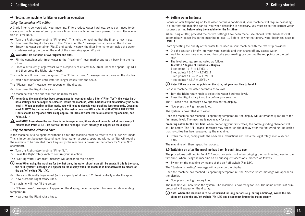## $\rightarrow$  Setting the machine for filter or non-filter operation

#### Using the machine with a filter

A Claris filter is delivered with your machine. Filters reduce water hardness, so you will need to descale your machine less often if you use a filter. Your machine has been pre-set for non-filter operation ("Filter No").

- $\rightarrow$  Turn the Right rotary knob to "Filter Yes". This tells the machine that the filter is now in use.
- $\rightarrow$  Now press the Right rotary knob. The "Screw in filter" message now appears on the display.
- $\rightarrow$  Empty the water container (Fig 2) and carefully screw the filter into its holder inside the water container using the tool on the end of the measuring spoon (Fig 4).

### **WARNING!** Do not bend or over-tighten the filter.

- $\rightarrow$  Fill the container with fresh water to the "maximum" level marker and put it back into the machine.
- $\rightarrow$  Place a sufficiently large vessel (with a capacity of at least 0.5 litres) under the spout (Fig 1/E) and then press the Right rotary knob.
- The machine will now rinse the system. The "Filter is rinsed" message now appears on the display.
- $\rightarrow$  Wait a few moments until water no longer issues from the spout.
- The "Please rinse" message now appears on the display.
- $\rightarrow$  Now press the Right rotary knob.

The machine will rinse and will then be ready for use.

(i) Note: Once the machine has been programmed for operation with a filter ("Filter Yes"), the water hard**ness settings can no longer be selected. Inside the machine, water hardness will automatically be set to**  level 1! When operating in filter mode, you will need to descale your machine less frequently. Descaling must ALWAYS be carried out according to the instructions and ONLY after first REMOVING THE FILTER. Filters should be replaced after using approx. 50 litres of water (for details of filter replacement, see **Point 3.1.1).**

**WARNING!** Even where the machine is not in regular use, filters should be replaced at least every 2 **months (see Point 3.1.1). Do not wait for the "Change Filter" message to appear on the display!**

#### Using the machine without a filter

If the machine is to be operated without a filter, the machine must be reset to the "Filter No" mode. This is important because, depending on local water hardness, operating without a filter will require the machine to be descaled more frequently (the machine is pre-set in the factory for "Filter No" operation!).

- $\rightarrow$  Turn the Right rotary knob to "Filter No".
- $\rightarrow$  Press the Right rotary knob to confirm your selection.

The "Setting Water Hardness" message will appear on the display.

- (i) Note: When using the machine for the first time, the water circuit may still be empty. If this is the case, the "Fill System" message will appear on the display when the machine is first activated by means of **the on / off switch (Fig 1/H).**
- $\rightarrow$  Place a sufficiently large vessel (with a capacity of at least 0.2 litres) centrally under the spout.
- $\rightarrow$  Now press the Right rotary knob.

The machine will now fill the system.

The "Please rinse" message will appear on the display, once the system has reached its operating temperature.

 $\rightarrow$  Now press the Right rotary knob.

## $\rightarrow$  Setting water hardness

Sooner or later (depending on local water hardness conditions), your machine will require descaling. In order that the machine can tell you when descaling is necessary, you must select the correct water hardness setting **before using the machine for the first time**.

When using a filter, provided the correct settings have been made (see above), water hardness will automatically be set inside the machine to level 1. Before leaving the factory, water hardness is set to **LEVEL 3**.

Start by testing the quality of the water to be used in your machine with the test strip provided:

- $\rightarrow$  Dip the test strip briefly into your water sample and then shake off any excess water.
- $\rightarrow$  Wait for approx. one minute and then take your reading by counting the red points on the test strip.
- $\rightarrow$  The level settings are indicated as follows: **Test Strip / Degree of Hardness = Display** 1 red point  $/ 1 - 7^\circ =$  LEVEL 1 2 red points /  $8-14^\circ$  = LEVEL 2 3 red points  $/ 15-21^\circ$  = LEVEL 3 4 red points  $/$  >21 $^{\circ}$  = LEVEL 4

## **Note: If there are no red points on the strip, set your machine to level 1.**

Set your machine for water hardness as follows:

- $\rightarrow$  Turn the Right rotary knob to select the water hardness level.
- $\rightarrow$  Press the Right rotary knob to confirm your selection.

The "Please rinse" message now appears on the display.

 $\rightarrow$  Now press the Right rotary knob.

The system is now filled with water.

Once the machine has reached its operating temperature, the display will automatically return to the first menu level. The machine is now ready for use.

**Preparing coffee for the first time**: when preparing your first coffee, the coffee grinding chamber will still be empty. The "Fill beans" message may appear on the display after the first grinding, indicating that no coffee has been prepared by the machine.

 $\rightarrow$  If this the case, comply with the on-screen instructions and press the Right rotary knob a second time.

The machine will then repeat the process.

## 2.5 Switching on after the machine has been brought into use

The procedures outlined in Point 2.4 must be carried out when bringing the machine into use for the first time. When using the machine on all subsequent occasions, proceed as follows:

 $\rightarrow$  Switch on the machine by means of the on / off switch (Fig 1/H).

The "System is heating" message will appear on the display.

Once the machine has reached its operating temperature, the "Please rinse" message will appear on the display.

 $\rightarrow$  Now press the Right rotary knob.

The machine will now rinse the system. The machine is now ready for use. The name of the last drink prepared will appear on the display.

**Note: Where the machine is to be left unused for long periods (e.g. during a holiday), switch the machine off using the on / off switch (Fig 1/H) and disconnect it from the mains supply.**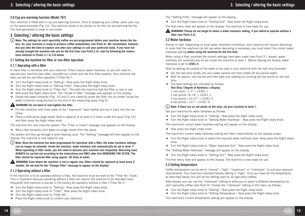#### 2.6 Cup pre-warming function (Model 767)

Your machine is fitted with a cup pre-warming function. Prior to preparing your coffee, place your cup on the stand provided (Fig 1/J). The machine needs to be turned on for the cup pre-warming facility. The heat generated is lower in eco-mode.

## 3. Selecting / altering the basic settings

**Note: The settings for each speciality coffee are pre-programmed before your machine leaves the factory. So, your machine is ready to produce coffee immediately (see Point 4). We recommend, however, that you take the time to explore and alter your settings to suit your particular taste. If you have not**  already brought the machine into use for the first time (see Point 2.4), start by following the instruc**tions outlined in Points 3.1 to 3.8 below.**

#### 3.1 Setting the machine for filter or non-filter operation

#### 3.1.1 Operating with a filter

A Claris filter is delivered with your machine. Filters reduce water hardness, so you will need to descale your machine less often, provided you install and use this filter properly. Your machine has been pre-set for non-filter operation ("Filter No").

- $\rightarrow$  Turn the Right rotary knob to "Setting". Now press the Right rotary knob.
- $\rightarrow$  Turn the Right rotary knob to "Setting Filter". Now press the Right rotary knob.
- $\rightarrow$  Turn the Right rotary knob to "Filter Yes". This tells the machine that the filter is now in use.
- $\rightarrow$  Now press the Right rotary knob. The "Screw in filter" message now appears on the display.
- $\rightarrow$  Empty the water container (Fig. 1/F and 2) and carefully screw the filter into its holder inside the water container using the tool on the end of the measuring spoon (Fig 4).

#### **WARNING!** Do not bend or over-tighten the filter.

- $\rightarrow$  Fill the container with fresh water to the "maximum" level marker and put it back into the machine.
- $\rightarrow$  Place a sufficiently large vessel (with a capacity of at least 0.5 litres) under the spout (Fig 1/E) and then press the Right rotary knob.
- The machine will now rinse the system. The "Filter is rinsed" message now appears on the display.
- $\rightarrow$  Wait a few moments until water no longer issues from the spout.

The system will then go through a short heating cycle. The "Setting" message will then appear on the display. The machine is now ready for use.

- (i) Note: Once the machine has been programmed for operation with a filter, the water hardness settings **can no longer be selected. Inside the machine, water hardness will automatically be set to level 1!**  When operating in filter mode, you will need to descale your machine less frequently. Descaling must ALWAYS be carried out according to the instructions and ONLY after first REMOVING THE FILTER. The filter should be replaced after using approx. 50 litres of water.
- **WARNING!** Even where the machine is not in regular use, filters should be replaced at least every 2 **months. Do not wait for the "Change Filter" message to appear on the display!**

#### 3.1.2 Operating without a filter

If the machine is to be operated without a filter, the machine must be reset to the "Filter No" mode. This is important because operating without a filter will require the machine to be descaled more frequently (the machine is pre-set in the factory for operation without a filter ("Filter No")!

- $\rightarrow$  Turn the Right rotary knob to "Setting". Now press the Right rotary knob.
- $\rightarrow$  Turn the Right rotary knob to "Filter". Now press the Right rotary knob.
- $\rightarrow$  Turn the Right rotary knob to "Filter No".
- $\rightarrow$  Press the Right rotary knob to confirm your selection.
- The "Setting Filter" message will appear on the display.
- $\rightarrow$  Turn the Right rotary knob to "Setting Exit". Now press the Right rotary knob.
- The first menu level will appear on the display. The machine is now ready for use.

#### **WARNING! Please do not forget to select a water hardness setting, if you intend to operate without a**  filter (see Point 3.2).

#### 3.2 Water hardness

Sooner or later (depending on local water hardness conditions), your machine will require descaling. In order that the machine can tell you when descaling is necessary, you must select the correct water hardness setting **before using the machine for the first time**.

When using a filter, provided the correct settings have been made (see Point 3.1 above), water hardness will automatically be set inside the machine to level 1. Before leaving the factory, water hardness is set to **LEVEL 3**.

Start by testing the quality of the water to be used in your machine with the test strip provided:

- $\rightarrow$  Dip the test strip briefly into your water sample and then shake off any excess water.
- $\rightarrow$  Wait for approx, one minute and then take your reading by counting the red points on the test strip.
- $\rightarrow$  The level settings are indicated as follows: **Test Strip / Degree of Hardness = Display** 1 red point /  $1-7^\circ$  = LEVEL 1 2 red points /  $8-14^\circ$  = LEVEL 2 3 red points /  $15-21^\circ$  = LEVEL 3 4 red points  $/$  >21 $^{\circ}$  = LEVEL 4

**Note: If there are no red points on the strip, set your machine to level 1.**

Set your machine for water hardness as follows:

- $\rightarrow$  Turn the Right rotary knob to "Setting". Now press the Right rotary knob.
- → Turn the Right rotary knob to "Setting Water Hardness". Now press the Right rotary knob.

The machine's current water hardness setting will appear on the display.

 $\rightarrow$  Now press the Right rotary knob.

The machine's current water hardness setting will flash intermittently on the display screen.

- $\rightarrow$  Turn the Right rotary knob to select the required water hardness level. Now press the Right rotary knob.
- $\rightarrow$  Turn the Right rotary knob to "Water Hardness Exit". Now press the Right rotary knob.

The "Setting Water Hardness" message will appear on the display.

 $\rightarrow$  Turn the Right rotary knob to "Setting Exit". Now press the Right rotary knob.

The first menu level will appear on the display. The machine is now ready for use.

#### 3.3 Setting temperature

Coffee temperature can be set to "normal", "high", "maximum" or "individual", to suit your personal requirements. Your machine's standard factory setting is "high". Once you have set the temperature, as described below, this will be the setting used for all speciality coffees.

Alternatively, you can use the "individual" setting to allow you to select a different temperature for each speciality coffee (see Point 4). Choose the "individual" setting in this menu as follows:

- $\rightarrow$  Turn the Right rotary knob to "Setting". Now press the Right rotary knob.
- $\rightarrow$  Turn the Right rotary knob to "Setting Temperature". Now press the Right rotary knob.

The machine's current temperature setting will appear on the display.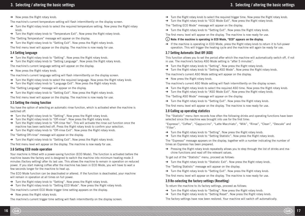$\rightarrow$  Now press the Right rotary knob.

The machine's current temperature setting will flash intermittently on the display screen.

- $\rightarrow$  Turn the Right rotary knob to select the required temperature setting. Now press the Right rotary knob.
- $\rightarrow$  Turn the Right rotary knob to "Temperature Exit". Now press the Right rotary knob.

The "Setting Temperature" message will appear on the display.

 $\rightarrow$  Turn the Right rotary knob to "Setting Exit". Now press the Right rotary knob.

The first menu level will appear on the display. The machine is now ready for use.

#### 3.4 Setting language

- $\rightarrow$  Turn the Right rotary knob to "Setting". Now press the Right rotary knob.
- $\rightarrow$  Turn the Right rotary knob to "Setting Language". Now press the Right rotary knob.

The machine's current language setting will appear on the display.

 $\rightarrow$  Now press the Right rotary knob.

The machine's current language setting will flash intermittently on the display screen.

- $\rightarrow$  Turn the Right rotary knob to select the required language. Now press the Right rotary knob.
- $\rightarrow$  Turn the Right rotary knob to "Language Exit". Now press the Right rotary knob.

The "Setting Language" message will appear on the display.

 $\rightarrow$  Turn the Right rotary knob to "Setting Exit". Now press the Right rotary knob.

The first menu level will appear on the display. The machine is now ready for use.

#### 3.5 Setting the rinsing function

You have the option of selecting an automatic rinse function, which is activated when the machine is switched off.

- $\rightarrow$  Turn the Right rotary knob to "Setting". Now press the Right rotary knob.
- $\rightarrow$  Turn the Right rotary knob to "Off-rinse". Now press the Right rotary knob.
- $\rightarrow$  Turn the Right rotary knob to "Off-rinse Yes". This will activate the rinse out function once the machine has been switched off. Press the Right rotary knob to confirm your selection.
- $\rightarrow$  Turn the Right rotary knob to "Off-rinse Exit". Now press the Right rotary knob.

The "Setting Off-rinse" message will appear on the display.

 $\rightarrow$  Turn the Right rotary knob to "Setting Exit". Now press the Right rotary knob.

The first menu level will appear on the display. The machine is now ready for use.

## 3.6 Setting ECO mode operation

Your machine is fitted with a power-saving function (ECO Mode). The function is activated before the machine leaves the factory and is designed to switch the machine into minimum heating mode 3 minutes (factory setting) after its last use. This allows the machine to remain in operation on reduced power. If you start making coffee after the machine has been in ECO Mode, you will have to wait a few seconds longer for the machine to heat up.

The ECO Mode function can be deactivated or altered. If the function is deactivated, your machine will remain in operation at all times on full power.

- $\rightarrow$  Turn the Right rotary knob to "Setting". Now press the Right rotary knob.
- → Turn the Right rotary knob to "Setting ECO Mode". Now press the Right rotary knob.

The machine's current ECO Mode trigger time setting appears on the display.

 $\rightarrow$  Now press the Right rotary knob.

The machine's current trigger time setting will flash intermittently on the display screen.

- $\rightarrow$  Turn the Right rotary knob to select the required trigger time. Now press the Right rotary knob.
- $\rightarrow$  Turn the Right rotary knob to "ECO Mode Exit". Now press the Right rotary knob.

The "Setting ECO Mode" message will appear on the display.

 $\rightarrow$  Turn the Right rotary knob to "Setting Exit". Now press the Right rotary knob.

The first menu level will appear on the display. The machine is now ready for use.

#### **Note: If the machine is operating in ECO Mode, "ECO" appears on the display.**

 $\rightarrow$  If the machine is operating in ECO Mode, press the Right rotary knob to return it to full-power operation. This will trigger the heating cycle and the machine will again be ready for use.

## 3.7 Setting Automatic Shut Off (ASO)

This function allows you to set the period after which the machine will automatically switch off, if not in use. The machine's factory ASO Mode setting is "after 5 minutes".

- $\rightarrow$  Turn the Right rotary knob to "Setting". Now press the Right rotary knob.
- $\rightarrow$  Turn the Right rotary knob to "Setting ASO Mode". Now press the Right rotary knob.

The machine's current ASO Mode setting will appear on the display.

 $\rightarrow$  Now press the Right rotary knob.

The machine's current ASO Mode setting will flash intermittently on the display screen.

- $\rightarrow$  Turn the Right rotary knob to select the required ASO time. Now press the Right rotary knob.
- $\rightarrow$  Turn the Right rotary knob to "ASO Mode Exit". Now press the Right rotary knob.

The "Setting ASO Mode" message will appear on the display.

 $\rightarrow$  Turn the Right rotary knob to "Setting Exit". Now press the Right rotary knob.

The first menu level will appear on the display. The machine is now ready for use.

### 3.8 Calling up operating statistics

The "Statistic" menu item records how often the following drinks and operating functions have been selected since the machine was brought into use for the first time:

"Espresso", "Coffee", "Cappuccino", "Latte Macchiato", "Milk", "Rinse", "Clean", "Descale" and "Filter".

- $\rightarrow$  Turn the Right rotary knob to "Setting". Now press the Right rotary knob.
- $\rightarrow$  Turn the Right rotary knob to "Setting Statistic". Now press the Right rotary knob.

The "Espresso" message appears on the display, together with a number indicating the number of times an Espresso has been prepared.

 $\rightarrow$  Pressing the Right rotary knob repeatedly allows you to step through the list of drinks and machine functions and read off the relevant values.

To get out of the "Statistic" menu, proceed as follows:

 $\rightarrow$  Turn the Right rotary knob to "Statistic Exit". Now press the Right rotary knob.

The "Setting Statistic" message will appear on the display.

 $\rightarrow$  Turn the Right rotary knob to "Setting Exit". Now press the Right rotary knob.

The first menu level will appear on the display. The machine is now ready for use.

#### 3.9 Re-selecting the factory settings (Resetting)

To return the machine to its factory settings, proceed as follows:

- $\rightarrow$  Turn the Right rotary knob to "Setting". Now press the Right rotary knob.
- $\rightarrow$  Turn the Right rotary knob to "Setting Reset". Now press the Right rotary knob.

The factory settings have now been restored. Your machine will switch off automatically.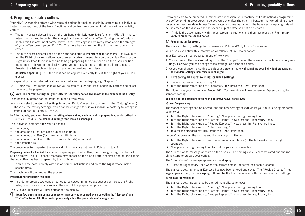## 4. Preparing speciality coffees

Your NIVONA machine offers a wide range of options for making speciality coffees to suit individual tastes. However, most of the basic functions and controls are common to all the various speciality coffees:

- The turn / press selector knob on the left-hand side (**Left rotary knob** for short) (Fig 1/B): the Left rotary knob is used to control the strength and amount of your coffee. Turning the Left rotary knob alters the amount of coffee served in ml. Pressing the Left rotary knob alters the strength of your coffee (bean symbol, Fig 1/D). The more beans shown on the display, the stronger the coffee.
- The turn / press selector knob on the right-hand side (**Right rotary knob** for short) (Fig 1/C). Turning the Right rotary knob allows you to select a drink or menu item on the display. Pressing the Right rotary knob tells the machine to begin preparing the drink shown on the display or (if a menu item is shown on the display) takes you to the sub-menu of the menu item selected. Pressing the **left** knob will take you back to the previous menu level.
- **Adjustable spout** (Fig 1/E): the spout can be adjusted vertically to suit the height of your cups or glasses.

The speciality coffee selected is shown as a text item on the display, e.g. "Espresso".

 $\rightarrow$  Turning the Right rotary knob allows you to step through the list of speciality coffees and select the one to be prepared.

#### **Note: The current settings for your selected speciality coffee are shown at the bottom of the display.**

Each speciality coffee can be prepared in one of two ways:

- a) You can select the **standard settings** from the "Recipe" menu (a sub-menu of the "Setting" menu). These are the factory settings, which can be changed to suit your individual taste by following the steps outlined in Points 4.1 to 4.8.
- b) Alternatively, you can change the **setting when making each individual preparation**, as described in Points 4.1 to 4.8. **The standard settings then remain unchanged**.

The individual settings allow you to change

- $\bullet$  the aroma.
- $\bullet$  the amount poured into each cup or glass (in ml),
- $\bullet$  the amount of coffee (for drinks with milk) in ml,
- $\bullet$  the amount of milk or froth (for drinks with milk) in ml, and
- $\bullet$  the temperature

The procedures for preparing the various drink options are outlined in Points 4.1 to 4.8.

Preparing coffee for the first time: when preparing your first coffee, the coffee grinding chamber will still be empty. The "Fill beans" message may appear on the display after the first grinding, indicating that no coffee has been prepared by the machine.

 $\rightarrow$  If this is the case, comply with the on-screen instructions and press the Right rotary knob a second time.

The machine will then repeat the process.

### **Procedure for preparing two cups**

 $\rightarrow$  In order to prepare two cups of coffee to be served in immediate succession, press the Right rotary knob twice in succession at the start of the preparation procedure.

The "2 cups" message will now appear on the display.

**Note: Two cups in immediate succession may only be prepared when selecting the "Espresso" and "Coffee" options. All other drink options only allow the preparation of a single cup.**

If two cups are to be prepared in immediate succession, your machine will automatically programme two coffee grinding procedures to be activated one after the other. If between the two grinding procedures, your machine detects insufficient water or coffee beans, or if the trays need emptying, this will be indicated on the display and the second cup of coffee will not be prepared.

 $\rightarrow$  If this is the case, comply with the on-screen instructions and then just press the Right rotary knob **to order the second coffee**.

## 4.1 Preparing an Espresso

The standard factory settings for Espresso are: Volume 40ml, Aroma "Maximum".

Your display will show this information as follows: "40ml ooo or ooooo".

Your Espresso can be prepared in one of two ways:

- 1. You can select the **standard settings** from the "Recipe" menu. These are your machine's factory settings. However, you can change these settings, as described below.
- 2. Or you can change the setting to suit your personal taste **whilst making your individual preparation. The standard settings then remain unchanged**.

## 4.1.1 Preparing an Espresso using standard settings

- $\rightarrow$  Place a cup under the spout (Fig 5).
- $\rightarrow$  Turn the Right rotary knob to "Espresso". Now press the Right rotary knob.

This illuminates your cup (only on Model 767). Your machine will now prepare an Espresso using the standard settings.

#### **You can alter the standard settings in one of two ways, as follows:**

#### **a) Live Programming**

The standard settings can be altered (and the new settings saved) whilst your milk is being prepared, as follows:

- $\rightarrow$  Turn the Right rotary knob to "Setting". Now press the Right rotary knob.
- $\rightarrow$  Turn the Right rotary knob to "Setting Recipe". Now press the Right rotary knob.
- $\rightarrow$  Turn the Right rotary knob to "Recipe Espresso". Now press the Right rotary knob.
- $\rightarrow$  Turn the Right rotary knob to "Start live Prog.".
- $\rightarrow$  To alter the standard settings, press the Right rotary knob.

"Aroma" appears on the display and the bean symbol flashes.

- $\rightarrow$  Turn the Right rotary knob to set the aroma of your choice (to the left weaker, to the right stronger).
- $\rightarrow$  Now press the Right rotary knob to confirm your aroma selection.

The "Please Wait" message appears on the display. The heating cycle is now activated and the machine starts to prepare your coffee.

The "Stop Coffee?" message appears on the display.

 $\rightarrow$  Press the Right rotary knob when the correct amount of coffee has been prepared.

The standard setting for your Espresso has now been altered and saved. The "Recipe Created" message appears briefly on the display, followed by the first menu level with the new standard settings.

#### **b) Manual Programming**

The standard settings can also be altered manually, as follows:

- $\rightarrow$  Turn the Right rotary knob to "Setting". Now press the Right rotary knob.
- $\rightarrow$  Turn the Right rotary knob to "Setting Recipe". Now press the Right rotary knob.
- $\rightarrow$  Turn the Right rotary knob to "Recipe Espresso". Now press the Right rotary knob.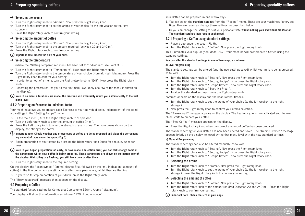#### $\rightarrow$  Selecting the aroma

- $\rightarrow$  Turn the Right rotary knob to "Aroma". Now press the Right rotary knob.
- $\rightarrow$  Turn the Right rotary knob to set the aroma of your choice (to the left weaker, to the right stronger).
- $\rightarrow$  Press the Right rotary knob to confirm your setting.

#### $\rightarrow$  Selecting the amount of coffee

- $\rightarrow$  Turn the Right rotary knob to "Coffee". Now press the Right rotary knob.
- $\rightarrow$  Turn the Right rotary knob to the amount required (between 20 and 240 ml).
- $\rightarrow$  Press the Right rotary knob to confirm your setting.

## **Important note: Check the size of your cups.**

#### $\rightarrow$  Selecting the temperature

(where the "Setting Temperature" menu has been set to "Individual", see Point 3.3)

- $\rightarrow$  Turn the Right rotary knob to "Temperature". Now press the Right rotary knob.
- $\rightarrow$  Turn the Right rotary knob to the temperature of your choice (Normal, High, Maximum). Press the Right rotary knob to confirm your setting.
- $\rightarrow$  In order to get out of a menu, turn the Right rotary knob to "Exit". Now press the Right rotary knob.
- $\rightarrow$  Repeating the process returns you to the first menu level (only one row of the menu is shown on the display).

#### (i) Note: If no menu alterations are made, the machine will eventually return you automatically to the first **menu level.**

#### 4.1.2 Preparing an Espresso to individual taste

Your machine allows you to prepare each Espresso to your individual taste, independent of the standard settings in the "Setting Recipe" menu.

- $\rightarrow$  In the main menu, turn the Right rotary knob to "Espresso".
- $\rightarrow$  Turn the Left rotary knob to alter the amount of coffee (in ml).
- $\rightarrow$  Press the Left rotary knob to alter the strength of your coffee. The more beans shown on the display, the stronger the coffee.

#### **Important note: Check whether one or two cups of coffee are being prepared and place the corresponding amount of cups under the spout (Fig 6).**

- $\rightarrow$  Begin preparation of your coffee by pressing the Right rotary knob (once for one cup, twice for two).
- **Note: If you began preparation too early, or have made a selection error, you can still change some of the parameters whilst your coffee is being prepared. These parameters are shown on the bottom row of**  the display. Whilst they are flashing, you still have time to alter them.
- $\rightarrow$  Turn the Right rotary knob to the required setting.

On the display, the "bean symbol" (aroma) flashes first, followed by the "ml. indication" (amount of coffee) in the line below. You are still able to alter these parameters, whilst they are flashing.

 $\rightarrow$  If you wish to stop preparation of your drink, press the Right rotary knob.

The "Brewing aborted" message then appears on the display.

#### 4.2 Preparing a Coffee

The standard factory settings for Coffee are: Cup volume 120ml, Aroma "Maximum". Your display will show this information as follows: "120ml ooo or ooooo".

Your Coffee can be prepared in one of two ways:

- 1. You can select the **standard settings** from the "Recipe" menu. These are your machine's factory settings. However, you can change these settings, as described below.
- 2. Or you can change the setting to suit your personal taste **whilst making your individual preparation. The standard settings then remain unchanged**.

#### 4.2.1 Preparing a Coffee using standard settings

- $\rightarrow$  Place a cup under the spout (Fig 5).
- $\rightarrow$  Turn the Right rotary knob to "Coffee". Now press the Right rotary knob.

This illuminates your cup (only on Model 767). Your machine will now prepare a Coffee using the standard settings.

#### **You can alter the standard settings in one of two ways, as follows:**

#### **a) Live Programming**

The standard settings can be altered (and the new settings saved) whilst your milk is being prepared, as follows:

- $\rightarrow$  Turn the Right rotary knob to "Setting". Now press the Right rotary knob.
- $\rightarrow$  Turn the Right rotary knob to "Setting Recipe". Now press the Right rotary knob.
- $\rightarrow$  Turn the Right rotary knob to "Recipe Coffee". Now press the Right rotary knob.
- $\rightarrow$  Turn the Right rotary knob to "Start live Prog.".
- $\rightarrow$  To alter the standard settings, press the Right rotary knob.

"Aroma" appears on the display and the bean symbol flashes.

- $\rightarrow$  Turn the Right rotary knob to set the aroma of your choice (to the left weaker, to the right stronger).
- $\rightarrow$  Now press the Right rotary knob to confirm your aroma selection.

The "Please Wait" message appears on the display. The heating cycle is now activated and the machine starts to prepare your coffee.

The "Stop Coffee?" message appears on the display.

 $\rightarrow$  Press the Right rotary knob when the correct amount of coffee has been prepared.

The standard setting for your Coffee has now been altered and saved. The "Recipe Created" message appears briefly on the display, followed by the first menu level with the new standard settings.

#### **b) Manual Programming**

The standard settings can also be altered manually, as follows:

- $\rightarrow$  Turn the Right rotary knob to "Setting". Now press the Right rotary knob.
- $\rightarrow$  Turn the Right rotary knob to "Setting Recipe". Now press the Right rotary knob.
- $\rightarrow$  Turn the Right rotary knob to "Recipe Coffee". Now press the Right rotary knob.

#### $\rightarrow$  Selecting the aroma

- $\rightarrow$  Turn the Right rotary knob to "Aroma". Now press the Right rotary knob.
- $\rightarrow$  Turn the Right rotary knob to set the aroma of your choice (to the left weaker, to the right stronger). Press the Right rotary knob to confirm your setting.

#### $\rightarrow$  Selecting the amount of coffee

- $\rightarrow$  Turn the Right rotary knob to "Coffee". Now press the Right rotary knob.
- $\rightarrow$  Turn the Right rotary knob to the amount required (between 20 and 240 ml). Press the Right rotary knob to confirm your setting.
- **Important note: Check the size of your cups.**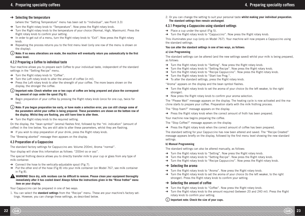## 4. Preparing speciality coffees 4. Preparing speciality coffees

## $\rightarrow$  Selecting the temperature

(where the "Setting Temperature" menu has been set to "Individual", see Point 3.3)

- $\rightarrow$  Turn the Right rotary knob to "Temperature". Now press the Right rotary knob.
- $\rightarrow$  Turn the Right rotary knob to the temperature of your choice (Normal, High, Maximum). Press the Right rotary knob to confirm your setting.
- $\rightarrow$  In order to get out of a menu, turn the Right rotary knob to "Exit". Now press the Right rotary knob.
- $\rightarrow$  Repeating the process returns you to the first menu level (only one row of the menu is shown on the display).
- (i) Note: If no menu alterations are made, the machine will eventually return you automatically to the first **menu level.**

## 4.2.2 Preparing a Coffee to individual taste

Your machine allows you to prepare each Coffee to your individual taste, independent of the standard settings in the "Setting Recipe" menu.

- $\rightarrow$  Turn the Right rotary knob to "Coffee".
- $\rightarrow$  Turn the Left rotary knob to alter the amount of coffee (in ml).
- $\rightarrow$  Press the Left rotary knob to alter the strength of your coffee. The more beans shown on the display, the stronger the coffee.

#### **Important note: Check whether one or two cups of coffee are being prepared and place the corresponding amount of cups under the spout (Fig 6).**

- $\rightarrow$  Begin preparation of your coffee by pressing the Right rotary knob (once for one cup, twice for two).
- **Note: If you began preparation too early, or have made a selection error, you can still change some of the parameters whilst your coffee is being prepared. These parameters are shown on the bottom row of**  the display. Whilst they are flashing, you still have time to alter them.
- $\rightarrow$  Turn the Right rotary knob to the required setting.

On the display, the "bean symbol" (aroma) flashes first, followed by the "ml. indication" (amount of coffee) in the line below. You are still able to alter these parameters, whilst they are flashing.

 $\rightarrow$  If you wish to stop preparation of your drink, press the Right rotary knob.

The "Brewing aborted" message then appears on the display.

## 4.3 Preparation of a Cappuccino

The standard factory settings for Cappuccino are: Volume 200ml, Aroma "normal".

Your display will show this information as follows: "200ml oo or ooo".

The special frothing device allows you to directly transfer milk to your cup or glass from any type of milk container.

- $\rightarrow$  Connect the hose to the vertically-adjustable spout (Fig 7).
- $\rightarrow$  Put the other end of the hose (Fig 8) into your milk container (on Model 767, see milk container in Fig 8).
- **WARNING!** Once dry, milk residues can be difficult to remove. Please clean your equipment thoroughly **immediately after it has cooled down! Always follow the instructions given in the "Rinse frother" menu item on your display.**

Your Cappuccino can be prepared in one of two ways:

1. You can select the **standard settings** from the "Recipe" menu. These are your machine's factory settings. However, you can change these settings, as described below.

2. Or you can change the setting to suit your personal taste **whilst making your individual preparation. The standard settings then remain unchanged**.

## 4.3.1 Preparing a Cappuccino using standard settings

- $\rightarrow$  Place a cup under the spout (Fig 5).
- $\rightarrow$  Turn the Right rotary knob to "Cappuccino". Now press the Right rotary knob.

This illuminates your cup (only on Model 767). Your machine will now prepare a Cappuccino using the standard settings.

#### **You can alter the standard settings in one of two ways, as follows:**

#### **a) Live Programming**

The standard settings can be altered (and the new settings saved) whilst your milk is being prepared, as follows:

- $\rightarrow$  Turn the Right rotary knob to "Setting". Now press the Right rotary knob.
- $\rightarrow$  Turn the Right rotary knob to "Setting Recipe". Now press the Right rotary knob.
- $\rightarrow$  Turn the Right rotary knob to "Recipe Cappuccino". Now press the Right rotary knob.
- $\rightarrow$  Turn the Right rotary knob to "Start live Prog.".
- $\rightarrow$  To alter the standard settings, press the Right rotary knob.

"Aroma" appears on the display and the bean symbol flashes.

- $\rightarrow$  Turn the Right rotary knob to set the aroma of your choice (to the left weaker, to the right stronger).
- $\rightarrow$  Now press the Right rotary knob to confirm your aroma selection.

The "Please Wait" message appears on the display. The heating cycle is now activated and the machine starts to prepare your coffee. Preparation starts with the milk frothing process.

The "Stop foam?" message appears on the display.

 $\rightarrow$  Press the Right rotary knob when the correct amount of froth has been prepared.

Your machine now begins preparing the coffee.

The "Stop Coffee?" message appears on the display.

 $\rightarrow$  Press the Right rotary knob when the correct amount of coffee has been prepared.

The standard setting for your Cappuccino has now been altered and saved. The "Recipe Created" message appears briefly on the display, followed by the first menu level showing the new standard settings.

### **b) Manual Programming**

The standard settings can also be altered manually, as follows:

- $\rightarrow$  Turn the Right rotary knob to "Setting". Now press the Right rotary knob.
- $\rightarrow$  Turn the Right rotary knob to "Setting Recipe". Now press the Right rotary knob.
- $\rightarrow$  Turn the Right rotary knob to "Recipe Cappuccino". Now press the Right rotary knob.

#### $\rightarrow$  Selecting the aroma

- $\rightarrow$  Turn the Right rotary knob to "Aroma". Now press the Right rotary knob.
- $\rightarrow$  Turn the Right rotary knob to set the aroma of your choice (to the left weaker, to the right stronger). Press the Right rotary knob to confirm your setting.

## $\rightarrow$  Selecting the amount of coffee

- $\rightarrow$  Turn the Right rotary knob to "Coffee". Now press the Right rotary knob.
- $\rightarrow$  Turn the Right rotary knob to the amount required (between 20 and 240 ml). Press the Right rotary knob to confirm your setting.

## **Important note: Check the size of your cups.**

22 GB 23<br>22 GB 23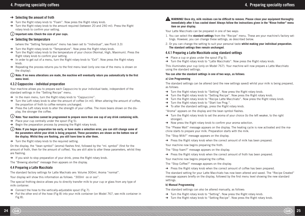## $\rightarrow$  Selecting the amount of froth

- $\rightarrow$  Turn the Right rotary knob to "Foam". Now press the Right rotary knob.
- $\rightarrow$  Turn the Right rotary knob to the amount required (between 20 and 240 ml). Press the Right rotary knob to confirm your setting.

## **Important note: Check the size of your cups.**

## $\rightarrow$  Selecting the temperature

(where the "Setting Temperature" menu has been set to "Individual", see Point 3.3)

- $\rightarrow$  Turn the Right rotary knob to "Temperature". Now press the Right rotary knob.
- $\rightarrow$  Turn the Right rotary knob to the temperature of your choice (Normal, High, Maximum). Press the Right rotary knob to confirm your setting.
- → In order to get out of a menu, turn the Right rotary knob to "Exit". Now press the Right rotary knob.
- $\rightarrow$  Repeating the process returns you to the first menu level (only one row of the menu is shown on the display).

#### $(i)$  Note: If no menu alterations are made, the machine will eventually return you automatically to the first **menu level.**

### 4.3.2 Cappuccino - individual preparation

Your machine allows you to prepare each Cappuccino to your individual taste, independent of the standard settings in the "Setting Recipe" menu.

- $\rightarrow$  In the main menu, turn the Right rotary knob to "Cappuccino".
- $\rightarrow$  Turn the Left rotary knob to alter the amount of coffee (in ml). When altering the amount of coffee, the proportion of froth to coffee remains unchanged.
- $\rightarrow$  Press the Left rotary knob to alter the strength of your coffee. The more beans shown on the display, the stronger the coffee.

## **Note: Your machine cannot be programmed to prepare more than one cup of any drink containing milk.**

- $\rightarrow$  Place your cup centrally under the spout (Fig 5).
- $\rightarrow$  Begin the preparation process by pressing the Right rotary knob.
- **Note: If you began preparation too early, or have made a selection error, you can still change some of the parameters whilst your drink is being prepared. These parameters are shown on the bottom row of**  the display. Whilst they are flashing, you still have time to alter them.
- $\rightarrow$  Turn the Right rotary knob to the required setting.

On the display, the "bean symbol" (aroma) flashes first, followed by the "ml. symbol" (first for the amount of froth, then for the amount of coffee). You are still able to alter these parameters, whilst they are flashing.

 $\rightarrow$  If you wish to stop preparation of your drink, press the Right rotary knob.

The "Brewing aborted" message then appears on the display.

## 4.4 Preparing a Latte Macchiato

The standard factory settings for Latte Machiato are: Volume 300ml, Aroma "normal".

Your display will show this information as follows: "300ml oo or ooo".

The special frothing device allows you to directly transfer milk to your cup or glass from any type of milk container.

- $\rightarrow$  Connect the hose to the vertically-adjustable spout (Fig 7).
- $\rightarrow$  Put the other end of the hose (Fig 8) into your milk container (on Model 767, see milk container in Fig 8).

**A** WARNING! Once dry, milk residues can be difficult to remove. Please clean your equipment thoroughly **immediately after it has cooled down! Always follow the instructions given in the "Rinse frother" menu item on your display.**

Your Latte Macchiato can be prepared in one of two ways:

- 1. You can select the **standard settings** from the "Recipe" menu. These are your machine's factory settings. However, you can change these settings, as described below.
- 2. Or you can change the setting to suit your personal taste **whilst making your individual preparation. The standard settings then remain unchanged**.

## 4.4.1 Preparing a Latte Macchiato using standard settings

- $\rightarrow$  Place a cup or glass under the spout (Fig 5).
- $\rightarrow$  Turn the Right rotary knob to "Latte Macchiato". Now press the Right rotary knob.

This illuminates your cup (only on Model 767). Your machine will now prepare a Latte Macchiato using the standard settings.

#### **You can alter the standard settings in one of two ways, as follows:**

#### **a) Live Programming**

The standard settings can be altered (and the new settings saved) whilst your milk is being prepared, as follows:

- $\rightarrow$  Turn the Right rotary knob to "Setting". Now press the Right rotary knob.
- $\rightarrow$  Turn the Right rotary knob to "Setting Recipe". Now press the Right rotary knob.
- $\rightarrow$  Turn the Right rotary knob to "Recipe Latte Macchiato". Now press the Right rotary knob.
- $\rightarrow$  Turn the Right rotary knob to "Start live Prog.".
- $\rightarrow$  To alter the standard settings, press the Right rotary knob.

"Aroma" appears on the display and the bean symbol flashes.

- $\rightarrow$  Turn the Right rotary knob to set the aroma of your choice (to the left weaker, to the right stronger).
- $\rightarrow$  Now press the Right rotary knob to confirm your aroma selection.

The "Please Wait" message appears on the display. The heating cycle is now activated and the machine starts to prepare your milk. Preparation starts with the milk.

The "Stop Milk?" message appears on the display.

 $\rightarrow$  Press the Right rotary knob when the correct amount of milk has been prepared.

Your machine now begins preparing the froth.

The "Stop foam?" message appears on the display.

 $\rightarrow$  Press the Right rotary knob when the correct amount of froth has been prepared.

Your machine now begins preparing the coffee.

The "Stop Coffee?" message appears on the display.

 $\rightarrow$  Press the Right rotary knob when the correct amount of coffee has been prepared.

The standard setting for your Latte Macchiato has now been altered and saved. The "Recipe Created" message appears briefly on the display, followed by the first menu level showing the new standard settings.

#### **b) Manual Programming**

The standard settings can also be altered manually, as follows:

- $\rightarrow$  Turn the Right rotary knob to "Setting". Now press the Right rotary knob.
- $\rightarrow$  Turn the Right rotary knob to "Setting Recipe". Now press the Right rotary knob.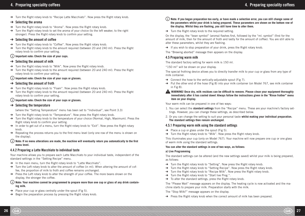$\rightarrow$  Turn the Right rotary knob to "Recipe Latte Macchiato". Now press the Right rotary knob.

#### $\rightarrow$  Selecting the aroma

- $\rightarrow$  Turn the Right rotary knob to "Aroma". Now press the Right rotary knob.
- $\rightarrow$  Turn the Right rotary knob to set the aroma of your choice (to the left weaker, to the right stronger). Press the Right rotary knob to confirm your setting.

### $\rightarrow$  Selecting the amount of coffee

- $\rightarrow$  Turn the Right rotary knob to "Coffee". Now press the Right rotary knob.
- $\rightarrow$  Turn the Right rotary knob to the amount required (between 20 and 240 ml). Press the Right rotary knob to confirm your setting.

### **Important note: Check the size of your cups.**

### $\rightarrow$  Selecting the amount of milk

- $\rightarrow$  Turn the Right rotary knob to "Milk". Now press the Right rotary knob.
- $\rightarrow$  Turn the Right rotary knob to the amount required (between 20 and 240 ml). Press the Right rotary knob to confirm your setting.

#### **Important note: Check the size of your cups or glasses.**

### $\rightarrow$  Selecting the amount of froth

- $\rightarrow$  Turn the Right rotary knob to "Foam". Now press the Right rotary knob.
- $\rightarrow$  Turn the Right rotary knob to the amount required (between 20 and 240 ml). Press the Right rotary knob to confirm your setting.

### **Important note: Check the size of your cups or glasses.**

## $\rightarrow$  Selecting the temperature

(where the "Setting Temperature" menu has been set to "Individual", see Point 3.3)

- $\rightarrow$  Turn the Right rotary knob to "Temperature". Now press the Right rotary knob.
- $\rightarrow$  Turn the Right rotary knob to the temperature of your choice (Normal, High, Maximum). Press the Right rotary knob to confirm your setting.
- $\rightarrow$  In order to get out of a menu, turn the Right rotary knob to "Exit". Now press the Right rotary knob.
- $\rightarrow$  Repeating the process returns you to the first menu level (only one row of the menu is shown on the display).

### (i) Note: If no menu alterations are made, the machine will eventually return you automatically to the first **menu level.**

## 4.4.2 Preparing a Latte Macchiato to individual taste

Your machine allows you to prepare each Latte Macchiato to your individual taste, independent of the standard settings in the "Setting Recipe" menu.

- $\rightarrow$  In the main menu, turn the Right rotary knob to "Latte Macchiato".
- $\rightarrow$  Turn the Left rotary knob to alter the amount of coffee (in ml). When altering the amount of coffee, the proportion of milk to froth and coffee remains unchanged.
- $\rightarrow$  Press the Left rotary knob to alter the strength of your coffee. The more beans shown on the display, the stronger the coffee.

## **Note: Your machine cannot be programmed to prepare more than one cup or glass of any drink containing milk.**

- $\rightarrow$  Place your cup or glass centrally under the spout (Fig 5).
- $\rightarrow$  Begin the preparation process by pressing the Right rotary knob.
- **Note: If you began preparation too early, or have made a selection error, you can still change some of the parameters whilst your drink is being prepared. These parameters are shown on the bottom row of**  the display. Whilst they are flashing, you still have time to alter them.
- $\rightarrow$  Turn the Right rotary knob to the required setting.

On the display, the "bean symbol" (aroma) flashes first, followed by the "ml. symbol" (first for the amount of milk, then for the amount of froth and lastly for the amount of coffee). You are still able to alter these parameters, whilst they are flashing.

 $\rightarrow$  If you wish to stop preparation of your drink, press the Right rotary knob.

The "Brewing aborted" message then appears on the display.

## 4.5 Preparing warm milk

The standard factory setting for warm milk is 150 ml.

"150 ml" will be shown on your display.

The special frothing device allows you to directly transfer milk to your cup or glass from any type of milk container.

- $\rightarrow$  Connect the hose to the vertically-adjustable spout (Fig 7).
- $\rightarrow$  Put the other end of the hose (Fig 8) into your milk container (on Model 767, see milk container in Fig 8).

#### **A** WARNING! Once dry, milk residues can be difficult to remove. Please clean your equipment thoroughly **immediately after it has cooled down! Always follow the instructions given in the "Rinse frother" menu item on your display.**

Your warm milk can be prepared in one of two ways:

- 1. You can select the **standard settings** from the "Recipe" menu. These are your machine's factory settings. However, you can change these settings, as described below.
- 2. Or you can change the setting to suit your personal taste **whilst making your individual preparation. The standard settings then remain unchanged**.

## 4.5.1 Preparing warm milk using the standard settings

- $\rightarrow$  Place a cup or glass under the spout (Fig 5).
- $\rightarrow$  Turn the Right rotary knob to "Milk". Now press the Right rotary knob.

This illuminates your cup (only on Model 767). Your machine will now prepare one cup or one glass of warm milk using the standard settings.

#### **You can alter the standard settings in one of two ways, as follows:**

#### **a) Live Programming**

The standard settings can be altered (and the new settings saved) whilst your milk is being prepared, as follows:

- $\rightarrow$  Turn the Right rotary knob to "Setting". Now press the Right rotary knob.
- $\rightarrow$  Turn the Right rotary knob to "Setting Recipe". Now press the Right rotary knob.
- $\rightarrow$  Turn the Right rotary knob to "Recipe Milk". Now press the Right rotary knob.
- $\rightarrow$  Turn the Right rotary knob to "Start live Prog.".
- $\rightarrow$  To alter the standard settings, press the Right rotary knob.

The "Please Wait" message appears on the display. The heating cycle is now activated and the machine starts to prepare your milk. Preparation starts with the milk.

The "Stop Milk?" message appears on the display.

 $\rightarrow$  Press the Right rotary knob when the correct amount of milk has been prepared.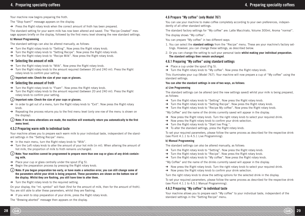Your machine now begins preparing the froth.

The "Stop foam?" message appears on the display.

 $\rightarrow$  Press the Right rotary knob when the correct amount of froth has been prepared.

The standard setting for your warm milk has now been altered and saved. The "Recipe Created" message appears briefly on the display, followed by the first menu level showing the new standard settings.

#### **b) Manual Programming**

The standard settings can also be altered manually, as follows:

- $\rightarrow$  Turn the Right rotary knob to "Setting". Now press the Right rotary knob.
- $\rightarrow$  Turn the Right rotary knob to "Setting Recipe". Now press the Right rotary knob.
- $\rightarrow$  Turn the Right rotary knob to "Recipe Milk". Now press the Right rotary knob.

#### $\rightarrow$  Selecting the amount of milk

- $\rightarrow$  Turn the Right rotary knob to "Milk". Now press the Right rotary knob.
- → Turn the Right rotary knob to the amount required (between 20 and 240 ml). Press the Right rotary knob to confirm your setting.

#### **Important note: Check the size of your cups or glasses.**

#### $\rightarrow$  Selecting the amount of froth

- $\rightarrow$  Turn the Right rotary knob to "Foam". Now press the Right rotary knob.
- $\rightarrow$  Turn the Right rotary knob to the amount required (between 20 and 240 ml). Press the Right rotary knob to confirm your setting.

#### **Important note: Check the size of your cups or glasses.**

- $\rightarrow$  In order to get out of a menu, turn the Right rotary knob to "Exit". Now press the Right rotary knob.
- $\rightarrow$  Repeating the process returns you to the first menu level (only one row of the menu is shown on the display).

#### $(i)$  Note: If no menu alterations are made, the machine will eventually return you automatically to the first **menu level.**

#### 4.5.2 Preparing warm milk to individual taste

Your machine allows you to prepare each warm milk to your individual taste, independent of the standard settings in the "Setting Recipe" menu.

- $\rightarrow$  In the main menu, turn the Right rotary knob to "Milk".
- $\rightarrow$  Turn the Left rotary knob to alter the amount of your hot milk (in ml). When altering the amount of hot milk, the proportion of milk to froth remains unchanged.
- **Note: Your machine cannot be programmed to prepare more than one cup or glass of any drink containing milk.**
- $\rightarrow$  Place your cup or glass centrally under the spout (Fig 5).
- $\rightarrow$  Begin the preparation process by pressing the Right rotary knob.
- **Note: If you began preparation too early, or have made a selection error, you can still change some of the parameters whilst your drink is being prepared. These parameters are shown on the bottom row of**  the display. Whilst they are flashing, you still have time to alter them.
- $\rightarrow$  Turn the Right rotary knob to the required setting.

On your display, the "ml. symbol" will flash (first for the amount of milk, then for the amount of froth). You are still able to alter these parameters, whilst they are flashing.

 $\rightarrow$  If you wish to stop preparation of your drink, press the Right rotary knob.

The "Brewing aborted" message then appears on the display.

## 4.6 Prepare "My coffee" (only Model 767)

You can use your machine to make coffee completely according to your own preferences, independently of all other standard settings.

The standard factory settings for "My coffee" are: Latte Macchiato, Volume 300ml, Aroma "normal". The display shows "My coffee".

You can prepare "My coffee" in two different ways:

- 1. You can select the **standard settings** from the "Recipe" menu. These are your machine's factory settings. However, you can change these settings, as described below.
- 2. Or you can change the setting to suit your personal taste **whilst making your individual preparation. The standard settings then remain unchanged**.

#### 4.6.1 Preparing "My coffee" using standard settings

- $\rightarrow$  Place a cup under the spout (Fig 5).
- $\rightarrow$  Turn the Right rotary knob to "My coffee". Now press the Right rotary knob.

This illuminates your cup (Model 767). Your machine will now prepare a cup of "My coffee" using the standard settings.

#### **You can alter the standard settings in one of two ways, as follows:**

#### **a) Live Programming**

The standard settings can be altered (and the new settings saved) whilst your milk is being prepared, as follows:

- $\rightarrow$  Turn the Right rotary knob to "Setting". Now press the Right rotary knob.
- $\rightarrow$  Turn the Right rotary knob to "Setting Recipe". Now press the Right rotary knob.
- $\rightarrow$  Turn the Right rotary knob to "Recipe My coffee". Now press the Right rotary knob.

"My Coffee" and the name of the drinks currently saved will appear in the display.

- → Now press the Right rotary knob. Turn the right rotary knob to select your required drink.
- $\rightarrow$  Now press the Right rotary knob to confirm your drink selection.
- $\rightarrow$  Turn the Right rotary knob to "Start live Prog.".
- $\rightarrow$  To alter the standard settings, press the Right rotary knob.

To set your required parameters, please follow the same process as described for the respective drink (see Point 4.1.1 to 4.5.1 Live Programming).

#### **b) Manual Programming**

The standard settings can also be altered manually, as follows:

- $\rightarrow$  Turn the Right rotary knob to "Setting". Now press the Right rotary knob.
- $\rightarrow$  Turn the Right rotary knob to "Recipe". Now press the Right rotary knob.
- $\rightarrow$  Turn the Right rotary knob to "My coffee". Now press the Right rotary knob.

"My Coffee" and the name of the drinks currently saved will appear in the display.

- $\rightarrow$  Now press the Right rotary knob. Turn the right rotary knob to select your required drink.
- $\rightarrow$  Now press the Right rotary knob to confirm your drink selection.

Turn the right rotary knob to show the setting options for the selected drink in the display.

To set your required parameters, please follow the same process as described for the respective drink (see Point 4.1.1 to 4.5.1 Manual Programming).

#### 4.6.2 Preparing "My coffee" to individual taste

Your machine allows you to prepare each "My coffee" to your individual taste, independent of the standard settings in the "Setting Recipe" menu.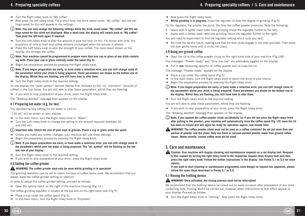- 4. Preparing speciality coffees 4. Preparing speciality coffees / 5. Care and maintenance
- $\rightarrow$  Turn the Right rotary knob to "My coffee"
- $\rightarrow$  Now press the left rotary knob. For a short time, the drink saved under "My coffee" and the settings saved for this will appear in the settings.
- **Note: You can only change the following settings while the drink saved under "My coffee" and the settings saved for this drink are displayed. After a short time, the display will switch back to "My coffee". Then push the left knob again if required.**
- $\rightarrow$  Turn the Left rotary knob to alter the amount of your hot milk (in ml). For drinks with milk, the proportion of milk to froth and coffee remains unchanged when the volume is altered.
- $\rightarrow$  Press the Left rotary knob to alter the strength of your coffee. The more beans shown on the display, the stronger the coffee.
- **Note: Your machine cannot be programmed to prepare more than one cup or glass of any drink containing milk. Place your cup or glass centrally under the spout (Fig 5).**
- $\rightarrow$  Begin the preparation process by pressing the Right rotary knob.
- **Note: If you began preparation too early, or have made a selection error, you can still change some of the parameters whilst your drink is being prepared. These parameters are shown on the bottom row of**  the display. Whilst they are flashing, you still have time to alter them.
- $\rightarrow$  Turn the Right rotary knob to the required setting.

On the display, the "bean symbol" (aroma) flashes first, followed by the "ml. indication" (amount of coffee) in the line below. You are still able to alter these parameters, whilst they are flashing.

 $\rightarrow$  If you wish to stop preparation of your drink, press the Right rotary knob.

The "Brewing aborted" message then appears on the display.

## 4.7 Preparing hot water (e.g. for tea)

The standard factory setting for hot water is 150 ml.

- "150 ml" will be shown on your display.
- $\rightarrow$  In the main menu, turn the Right rotary knob to "Water".
- $\rightarrow$  Turn the Left rotary knob to change the setting to the amount required (between 20 and 240 ml).
- **Important note: Check the size of your cups or glasses. Place a cup or glass under the spout.**
- $\rightarrow$  Unless you make any further changes, your machine will use these settings.
- $\rightarrow$  Begin the preparation process by pressing the Right rotary knob.
- **Note: If you began preparation too early, or have made a selection error, you can still change some of the parameters whilst your hot water is being prepared. The "ml. symbol" will be "ashing on the bottom row of your display.**
- $\rightarrow$  Turn the Right rotary knob to the required setting.
- $\rightarrow$  If you wish to stop preparation of your drink, press the Right rotary knob.

## 4.8 Setting the coffee grinder

## **WARNING! The coffee grinder must only be reset whilst grinding is in operation!**

The grinding operation can be set to match the type of coffee beans used. We recommend that you always leave the coffee grinder setting on medium.

In order to adjust the coffee grinder setting, proceed as follows:

 $\rightarrow$  Open the service hatch on the right of the machine housing (Fig 1/L).

The coffee grinding regulator is located at the top and on the right-hand side (Fig 9).

- $\rightarrow$  Place a cup under the coffee spout (Fig 6).
- $\rightarrow$  In the main menu, turn the Right rotary knob to "Espresso".
- $\rightarrow$  Now press the Right rotary knob.
- $\rightarrow$  Whilst grinding is in progress, move the regulator to alter the degree of grinding (Fig 9).

On the regulator, the smaller the point, the finer the coffee powder produced. Note the following:

- $\bullet$  beans with a lighter roast need more grinding (move the regulator further to the left),
- beans with a darker roast need less grinding (move the regulator further to the right).

You will need to experiment to find the regulator setting which suits you best.

 $\rightarrow$  Re-close the service hatch, making sure that the door studs engage in the slots provided. Then press the door gently home until it clicks into place.

## 4.9 Using pre-ground coffee

 $\rightarrow$  Open the lid to the coffee powder chute on the right-hand side of your machine (Fig 1/M).

The messages "Powder ready" and "Only one cup" are alternately toggled on the display.

 $\rightarrow$  Put in **one** measuring spoonful of coffee powder and re-close the lid.

The message "Powder ready" appears on the display.

- $\rightarrow$  Place a cup under the coffee spout (Fig 5).
- $\rightarrow$  In the main menu, turn the Right rotary knob to select the drink of your choice.
- $\rightarrow$  Begin the preparation process by pressing the Right rotary knob.
- **Note: If you began preparation too early, or have made a selection error, you can still change some of the parameters whilst your drink is being prepared. These parameters are shown on the bottom row of**  the display. Whilst they are flashing, you still have time to alter them.
- $\rightarrow$  Turn the Right rotary knob to the required setting.

You are still able to alter these parameters, whilst they are flashing.

 $\rightarrow$  If you wish to stop preparation of your drink, press the Right rotary knob.

The "Brewing aborted" message then appears on the display.

- **Note: If you opened the coffee powder chute accidentally (or if you did not press the Right rotary knob after putting in the powder), your machine will automatically rinse the coffee spout (Fig 1/E) once the lid has been re-closed and will again be ready for operation approx. one minute later.**
- **A** WARNING! The coffee powder chute must not be used as a coffee container! Do not put more than one **portion of powder into the chute. Only use fresh or vacuum-packed powder made from ground coffee beans. Water-soluble, instant coffee must not be used!**

## 5. Care and maintenance

**Caution: Your machine will display cleaning and maintenance requests as a red display text. Respond to this request by turning the right rotary knob to the respective request (blue display text) and then press the right rotary knob. Follow the further instructions in the display. See Points 5.1 to 5.5 for more details.**

**If you want to start cleaning or maintenance programmes even though no request has appeared, please follow the same steps described in Points 5.1 to 5.5.**

## 5.1 Rinsing the frothing device

## **WARNING! Once activated, the rinsing process must not be interrupted!**

We recommend that the frothing device be rinsed out on every occasion after preparation of any drink containing milk. Rinsing MUST be carried out, however, when instructions to that effect appear on your display. Proceed as follows:

 $\rightarrow$  Turn the Right rotary knob to "Setting". Now press the Right rotary knob.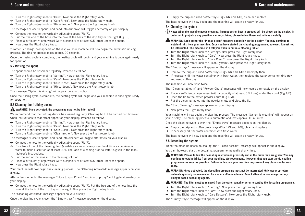- $\rightarrow$  Turn the Right rotary knob to "Care". Now press the Right rotary knob.
- $\rightarrow$  Turn the Right rotary knob to "Care Rinse". Now press the Right rotary knob.
- $\rightarrow$  Turn the Right rotary knob to "Rinse frother". Now press the Right rotary knob.

The messages "Hose to spout" and "and into drip tray" will toggle alternately on your display.

- $\rightarrow$  Connect the hose to the vertically-adjustable spout (Fig 7).
- $\rightarrow$  Put the free end of the hose into the hole at the back of the drip tray on the right (Fig 10).
- $\rightarrow$  Place a sufficiently large vessel (with a capacity of at least 0.5 litres) under the spout.
- $\rightarrow$  Now press the Right rotary knob.

"Frother is rinsing" now appears on the display. Your machine will now begin the automatic rinsing process. The rinsing process takes approx. 20 seconds.

Once the rinsing cycle is complete, the heating cycle will begin and your machine is once again ready for operation.

#### 5.2 Rinsing the spout

The spout should be rinsed out regularly. Proceed as follows:

- $\rightarrow$  Turn the Right rotary knob to "Setting". Now press the Right rotary knob.
- $\rightarrow$  Turn the Right rotary knob to "Care". Now press the Right rotary knob.
- $\rightarrow$  Turn the Right rotary knob to "Care Rinse". Now press the Right rotary knob.
- $\rightarrow$  Turn the Right rotary knob to "Rinse Spout". Now press the Right rotary knob.

The message "System is rinsing" will appear on your display.

Once the rinsing cycle is complete, the heating cycle will begin and your machine is once again ready for operation.

#### 5.3 Cleaning the frothing device

#### **WARNING! Once activated, the programme may not be interrupted!**

We recommend that the frothing device be cleaned regularly. Cleaning MUST be carried out, however, when instructions to that effect appear on your display. Proceed as follows:

- $\rightarrow$  Turn the Right rotary knob to "Setting". Now press the Right rotary knob.
- $\rightarrow$  Turn the Right rotary knob to "Care". Now press the Right rotary knob.
- $\rightarrow$  Turn the Right rotary knob to "Care Clean". Now press the Right rotary knob.
- $\rightarrow$  Turn the Right rotary knob to "Clean frother". Now press the Right rotary knob.

The messages "Hose to spout" and "end into cleaner" will toggle alternately on your display.

- $\rightarrow$  Connect the hose to the vertically-adjustable spout (Fig 7).
- $\rightarrow$  Dissolve a little of the cleaning fluid (available as an accessory, see Point 9) in a container with water to make a solution of at least 0.3l. The ratio of cleaning fluid to water is given in the manufacturer's instructions.
- $\rightarrow$  Put the end of the hose into the cleaning solution.
- $\rightarrow$  Place a sufficiently large vessel (with a capacity of at least 0.5 litres) under the spout.
- $\rightarrow$  Now press the Right rotary knob.

Your machine will now begin the cleaning process. The "Cleaning Activated" message appears on your display.

After a few moments, the messages "Hose to spout" and "and into drip tray" will toggle alternately on your display.

 $\rightarrow$  Connect the hose to the vertically-adjustable spout (Fig 7). Put the free end of the hose into the hole at the back of the drip tray on the right. Now press the Right rotary knob.

The "Cleaning Activated" message appears on your display.

Once the cleaning cycle is over, the "Empty trays" message appears on the display.

 $\rightarrow$  Empty the drip and used coffee trays (Figs 1/N and 1/O), clean and replace.

The heating cycle will now begin and the machine will again be ready for use.

#### 5.4 Cleaning the system

- **Note: When the machine needs cleaning, instructions on how to proceed will be shown on the display. In order not to prejudice any possible warranty claims, please follow these instructions carefully.**
- **WARNING! Look out for the "Please clean" message appearing on the display. You may continue to obtain drinks from your machine. Once you have started the cleaning programme, however, it must not be interrupted. The machine will tell you when to put in a cleaning tablet.**
- $\rightarrow$  Turn the Right rotary knob to "Setting". Now press the Right rotary knob.
- $\rightarrow$  Turn the Right rotary knob to "Care". Now press the Right rotary knob.
- $\rightarrow$  Turn the Right rotary knob to "Care Clean". Now press the Right rotary knob.
- $\rightarrow$  Turn the Right rotary knob to "Clean System". Now press the Right rotary knob.

The "Empty trays" message will appear on the display.

- $\rightarrow$  Remove the drip and used coffee trays (Figs 1/N and 1/O) and empty them.
- $\rightarrow$  If necessary, fill the water container with fresh water, then replace the water container, drip tray and used coffee tray.

The machine will now rinse twice.

The "Cleaning tablet in" and "Powder Chute" messages will now toggle alternately on the display.

- $\rightarrow$  Place a sufficiently large vessel (with a capacity of at least 0.5 litres) under the spout (Fig 1/E).
- $\rightarrow$  Open the lid to the coffee powder chute (Fig 1/M).
- $\rightarrow$  Put the cleaning tablet into the powder chute and close the lid.

The "Start Cleaning" message appears on your display.

 $\rightarrow$  Now press the Right rotary knob.

Your machine will now begin the cleaning process. The message "System is cleaning" will appear on your display. The cleaning process is automatic and lasts approx. 10 minutes.

Once the cleaning cycle is over, the "Empty trays" message appears on the display.

- $\rightarrow$  Empty the drip and coffee dregs trays (Figs 1/N and 1/O), clean and replace.
- $\rightarrow$  If necessary, fill the water container with fresh water.

The heating cycle will now begin and the machine will again be ready for use.

#### 5.5 Descaling the system

When the machine needs de-scaling, the "Please descale" message will appear in the display.

You can, however, start the descaling programme manually at any time.

- **WARNING! Please follow the descaling instructions precisely and in the order they are given! You may continue to obtain drinks from your machine. We recommend, however, that you start the de-scaling programme as soon as possible. Failure to descale your machine may exempt any claims under warranty.**
- **A** WARNING! Once activated, the descaling programme must not be interrupted! Only use proprietary **solvents specially recommended for use in coffee machines. Do not attempt to use vinegar or any vinegar-based descaling agents.**

#### **A** WARNING! The filter must be removed from the water container prior to starting the descaling programme.

- $\rightarrow$  Turn the Right rotary knob to "Setting". Now press the Right rotary knob.
- $\rightarrow$  Turn the Right rotary knob to "Care". Now press the Right rotary knob.
- $\rightarrow$  Turn the Right rotary knob to "Care Descale". Now press the Right rotary knob.
- The "Empty trays" message will appear on the display.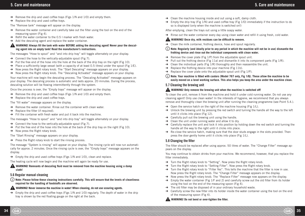- $\rightarrow$  Remove the drip and used coffee trays (Figs 1/N and 1/O) and empty them.
- $\rightarrow$  Replace the drip and used coffee trays.

The "Remove tank" message will appear on the display.

- $\rightarrow$  Remove the water container and carefully take out the filter using the tool on the end of the measuring spoon (Fig 4).
- $\rightarrow$  Refill the water container to the 0.5 l marker with fresh water.
- $\rightarrow$  Add the descaling agent and replace the water container.

#### **A** WARNING! Always fill the tank with water BEFORE adding the descaling agent! Never pour the descal**ing agent into an empty tank! Read the manufacturer's instructions.**

The messages "Hose to spout" and "and into drip tray" will toggle alternately on your display.

- $\rightarrow$  Connect the hose to the vertically-adjustable spout (Fig 7).
- $\rightarrow$  Put the free end of the hose into the hole at the back of the drip tray on the right (Fig 10).
- $\rightarrow$  Place a sufficiently large vessel (with a capacity of at least 0.5 litres) under the spout (Fig 1/E).
- $\rightarrow$  Now press the Right rotary knob. The "Start Descaling" message appears on your display.
- $\rightarrow$  Now press the Right rotary knob. The "Descaling Activated" message appears on your display.

Your machine will now begin the descaling process. The "Descaling Activated" message appears on your display. The descaling process is automatic and lasts approx. 20 minutes. During the process, descaling solution will be flowing intermittently through the system.

Once the process is over, the "Empty trays" message will appear on the display.

- $\rightarrow$  Remove the drip and used coffee travs (Figs 1/N and 1/O) and empty them.
- $\rightarrow$  Replace the drip and used coffee trays.

The "fill water" message appears on the display.

- $\rightarrow$  Remove the water container. Rinse out the container with clean water.
- $\rightarrow$  Replace the filter (if required).
- $\rightarrow$  Fill the container with fresh water and put it back into the machine.

The messages "Hose to spout" and "and into drip tray" will toggle alternately on your display.

- $\rightarrow$  Connect the hose to the vertically-adjustable spout (Fig 7).
- $\rightarrow$  Put the free end of the hose into the hole at the back of the drip tray on the right (Fig 10).
- $\rightarrow$  Now press the Right rotary knob.

The "Start Rinsing" message appears on your display.

 $\rightarrow$  Press the Right rotary knob to start the rinsing process.

The message "System is rinsing" will appear on your display. The rinsing cycle will now run automatically for approx. 2 minutes. Once the rinsing cycle is over, the "Empty trays" message appears on the display.

 $\rightarrow$  Empty the drip and used coffee trays (Figs 1/N and 1/O), clean and replace.

The heating cycle will now begin and the machine will again be ready for use.

#### **WARNING! Remnants of descaling fluid must be removed from the machine housing using a damp cloth!**

#### 5.6 Regular manual cleaning

**Note: Please follow these cleaning instructions carefully. This will ensure that the levels of cleanliness required for the handling of foodstuffs are observed.**

#### **WARNING! Never immerse the machine in water! When cleaning, do not use scouring agents.**

 $\rightarrow$  Empty the drip and used coffee trays (Figs 1/N and 1/O) regularly. The depth of water in the drip tray is shown by the red floating gauge on the right at the back.

- $\rightarrow$  Clean the machine housing inside and out using a soft, damp cloth.
- $\rightarrow$  Empty the drip tray (Fig 1/N) and used coffee tray (Fig 1/O) immediately if the instruction to do so is displayed (only when the machine is switched on!)

After emptying, clean the trays out using a little soapy water.

 $\rightarrow$  Rinse out the water container every day using clean water and refill it using fresh, cold water.

#### **WARNING! Once dry, milk residues can be difficult to remove.**

 $\rightarrow$  Clean the milk container, frothing device, hose and spout regularly.

- **Note: Regularly (and ideally prior to any period in which the machine will not be in use) dismantle the frothing device and rinse out the individual components with clean water.**
- $\rightarrow$  Remove the cover plate (Fig 1/P) from the adjustable spout unit.
- $\rightarrow$  Pull out the frothing device (Fig 11a) and dismantle it into its component parts (Fig 1/R).
- $\rightarrow$  Clean the individual parts (Fig 1/R) thoroughly and then reassemble the unit.
- $\rightarrow$  Replace the frothing device into your machine (Fig 11b).
- $\rightarrow$  Replace the cover plate onto the adjustable spout unit (Fig 1/P).
- (i) Note: Your machine is fitted with castors (Model 767 only, Fig 1/Q). These allow the machine to be **easily moved on a level working surface. This also helps you keep the area under the machine clean.**

#### 5.7 Cleaning the brewing unit

#### **WARNING! Only remove the brewing unit when the machine is switched off!**

To clean the unit, remove it from the machine and hold it under cold running water. Do not use any cleaning agent! Only use clean water! In the interests of hygiene, we recommend that you always remove and thoroughly clean the brewing unit after running the cleaning programme (see Point 5.4.).

- $\rightarrow$  Open the service hatch on the right of the machine housing (Fig 1/L).
- $\rightarrow$  Unlock the brewing unit by pressing the red switch and turning the handle all the way to the left until it clicks into place (Fig 12).
- $\rightarrow$  Carefully pull out the brewing unit using the handle.
- $\rightarrow$  Clean the unit under running water and allow it to dry.
- $\rightarrow$  Carefully replace the unit and lock it into position by holding down the red switch and turning the handle all the way to the right until it clicks into place.
- $\rightarrow$  Re-close the service hatch, making sure that the door studs engage in the slots provided. Then press the door gently home until it clicks into place (Fig 1/L).

### 5.8 Changing the filter

The filter should be replaced after using approx. 50 litres of water. The "Change Filter" message appears on the display.

You may continue to obtain drinks from your machine. We recommend, however, that you replace the filter immediately.

- $\rightarrow$  Turn the Right rotary knob to "Setting". Now press the Right rotary knob.
- $\rightarrow$  Turn the Right rotary knob to "Setting Filter". Now press the Right rotary knob.
- $\rightarrow$  Turn the Right rotary knob to "Filter Yes". This tells the machine that the filter is now in use. Now press the Right rotary knob. The "Change Filter" message appears on the display.
- $\rightarrow$  Now press the Right rotary knob. The "Replace Filter" message now appears on the display.
- $\rightarrow$  Empty the water container (Fig 1/F and 2) and carefully screw out the old filter from its holder using the tool on the end of the measuring spoon (Fig 4).
- $\rightarrow$  The old filter may be disposed of in your ordinary household waste.
- $\rightarrow$  Carefully screw the new filter into its holder inside the water container using the tool on the end of the measuring spoon (Fig 4).

### **WARNING!** Do not bend or over-tighten the filter.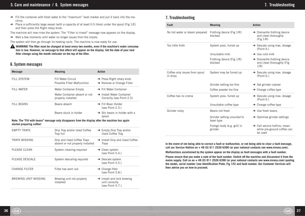## 5. Care and maintenance / 6. System messages 7. Troubleshooting

- $\rightarrow$  Fill the container with fresh water to the "maximum" level marker and put it back into the machine.
- $\rightarrow$  Place a sufficiently large vessel (with a capacity of at least 0.5 litres) under the spout (Fig 1/E) and then press the Right rotary knob.

The machine will now rinse the system. The "Filter is rinsed" message now appears on the display.

 $\rightarrow$  Wait a few moments until water no longer issues from the nozzle.

The system will then go through its heating cycle. The machine is now ready for use.

**A** WARNING! The filter must be changed at least every two months, even if the machine's water consump**tion is low. However, no message to that effect will appear on the display. Set the date of your next**  filter change using the month indicator on the top of the filter.

## 6. System messages

| <b>Message</b>                                                                                                                | <b>Meaning</b>                                                 | <b>Action</b>                                                                  |  |  |  |
|-------------------------------------------------------------------------------------------------------------------------------|----------------------------------------------------------------|--------------------------------------------------------------------------------|--|--|--|
| <b>FILL SYSTEM</b>                                                                                                            | Fill Water Circuit<br>Possible Filter Malfunction              | $\rightarrow$ Press Right rotary knob<br>$\rightarrow$ Remove or Change Filter |  |  |  |
| <b>FILL WATER</b>                                                                                                             | Water Container Empty                                          | $\rightarrow$ Fill Water Container                                             |  |  |  |
|                                                                                                                               | Water Container absent or not<br>properly installed            | $\rightarrow$ Install Water Container<br>Correctly (see Point 2.3)             |  |  |  |
| <b>FILL BEANS</b>                                                                                                             | Beans absent                                                   | $\rightarrow$ Fill Bean Holder<br>(see Point 2.3.)                             |  |  |  |
|                                                                                                                               | Beans stuck in holder                                          | $\rightarrow$ Stir beans in holder with a<br>spoon                             |  |  |  |
| Note: The "Fill with beans" message only disappears from the display after the machine has again<br>started preparing coffee! |                                                                |                                                                                |  |  |  |
| <b>EMPTY TRAYS</b>                                                                                                            | Drip Tray and/or Used Coffee<br>Tray full                      | $\rightarrow$ Empty Drip Tray and/or<br>Used Coffee Tray                       |  |  |  |
| <b>TRAYS MISSING</b>                                                                                                          | Drip and Used Coffee Trays<br>absent or not properly installed | → Install Drip and Used Coffee<br><b>Trays</b>                                 |  |  |  |
| <b>PLEASE CLEAN</b>                                                                                                           | System cleaning required                                       | $\rightarrow$ Clean system<br>(see Point 5.4.)                                 |  |  |  |
| PLEASE DESCALE                                                                                                                | System descaling required                                      | $\rightarrow$ Descale system<br>(see Point 5.5.)                               |  |  |  |
| <b>CHANGE FILTER</b>                                                                                                          | Filter has worn out                                            | $\rightarrow$ Change filter<br>(see Point 5.8.)                                |  |  |  |
| BREWING UNIT MISSING                                                                                                          | Brewing unit not properly<br>installed                         | $\rightarrow$ Install and lock brewing<br>unit correctly<br>(see Point 5.7.)   |  |  |  |

## 7. Troubleshooting

| Fault                                     | <b>Meaning</b>                           | <b>Action</b>                                                                       |
|-------------------------------------------|------------------------------------------|-------------------------------------------------------------------------------------|
| No hot water or steam prepared            | Frothing device (Fig 1/R)<br>blocked     | $\rightarrow$ Dismantle frothing device<br>and clean thoroughly<br>(Fig 1/R)        |
| Too little froth                          | System poss. furred up                   | $\rightarrow$ Descale using max. dosage<br>(Point 6.)                               |
|                                           | Unsuitable milk                          | $\rightarrow$ Use cold milk                                                         |
|                                           | Frothing device (Fig 1/R)<br>blocked     | $\rightarrow$ Dismantle frothing device<br>and clean thoroughly (Fig.<br>1/R)       |
| Coffee only issues from spout<br>in drips | System may be furred up                  | $\rightarrow$ Descale using max. dosage<br>(Point 6.)                               |
|                                           | Grinder setting too fine                 | $\rightarrow$ Set grinder coarser                                                   |
|                                           | Coffee powder too fine                   | $\rightarrow$ Change coffee type                                                    |
| Coffee has no crema                       | System poss. furred up                   | $\rightarrow$ Descale using max. dosage<br>(Point 6.)                               |
|                                           | Unsuitable coffee type                   | $\rightarrow$ Change coffee type                                                    |
| Grinder noisy                             | Beans not fresh                          | $\rightarrow$ Use fresh beans                                                       |
|                                           | Grinder setting unsuited to<br>bean type | $\rightarrow$ Optimise grinder settings                                             |
|                                           | Foreign body (e.g. grit) in<br>grinder   | $\rightarrow$ Call service hotline, mean-<br>while pre-ground coffee can<br>be used |

**In the event of not being able to correct a fault or malfunction, or not being able to clear a fault message, call our Service Hotline on + 49 (0) 911 2526 6390 (or your national contacts see www.nivona.com).**

**Malfunctions ascertained by the system appear on the display as fault messages with a fault number.**

**Please ensure that you make a note of the fault number. Switch off the machine and disconnect it from the mains supply. Call us on + 49 (0) 911 2526 6390 (or your national contacts see www.nivona.com) quoting**  the model, serial number (see Identification Plate, Fig 1/S) and fault number. Our Customer Services will **then advise you on how to proceed.**